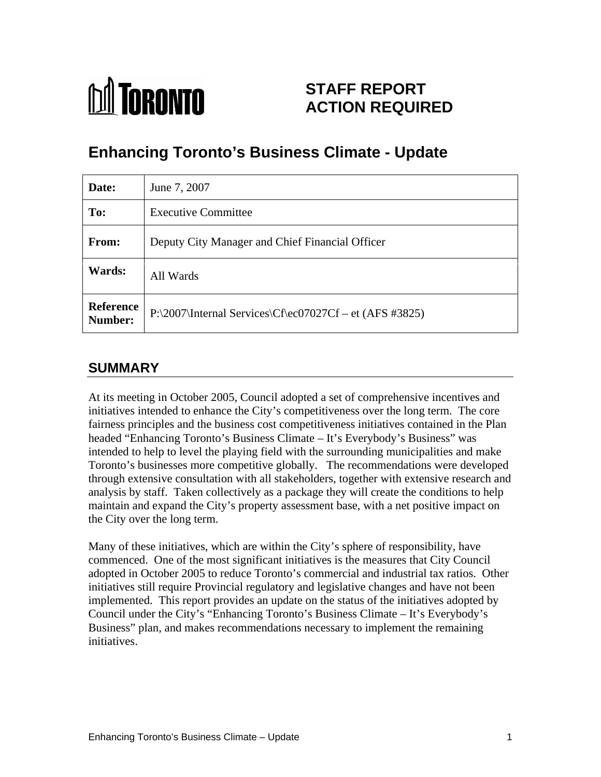

# **STAFF REPORT ACTION REQUIRED**

# **Enhancing Toronto's Business Climate - Update**

| Date:                | June 7, 2007                                                     |
|----------------------|------------------------------------------------------------------|
| To:                  | <b>Executive Committee</b>                                       |
| From:                | Deputy City Manager and Chief Financial Officer                  |
| <b>Wards:</b>        | All Wards                                                        |
| Reference<br>Number: | $ P:\2007\text{Internal Services}\Cf\ee07027Cf - et (AFS #3825)$ |

# **SUMMARY**

At its meeting in October 2005, Council adopted a set of comprehensive incentives and initiatives intended to enhance the City's competitiveness over the long term. The core fairness principles and the business cost competitiveness initiatives contained in the Plan headed "Enhancing Toronto's Business Climate – It's Everybody's Business" was intended to help to level the playing field with the surrounding municipalities and make Toronto's businesses more competitive globally. The recommendations were developed through extensive consultation with all stakeholders, together with extensive research and analysis by staff. Taken collectively as a package they will create the conditions to help maintain and expand the City's property assessment base, with a net positive impact on the City over the long term.

Many of these initiatives, which are within the City's sphere of responsibility, have commenced. One of the most significant initiatives is the measures that City Council adopted in October 2005 to reduce Toronto's commercial and industrial tax ratios. Other initiatives still require Provincial regulatory and legislative changes and have not been implemented. This report provides an update on the status of the initiatives adopted by Council under the City's "Enhancing Toronto's Business Climate – It's Everybody's Business" plan, and makes recommendations necessary to implement the remaining initiatives.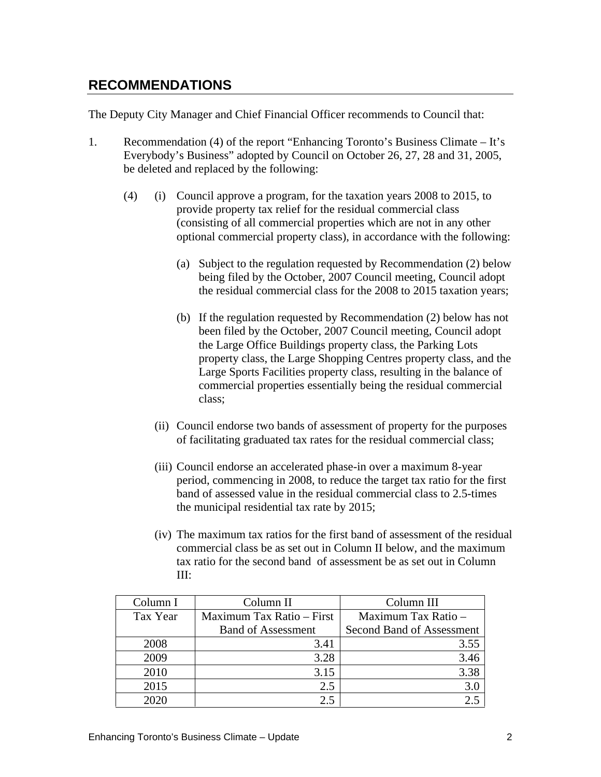# **RECOMMENDATIONS**

The Deputy City Manager and Chief Financial Officer recommends to Council that:

- 1. Recommendation (4) of the report "Enhancing Toronto's Business Climate It's Everybody's Business" adopted by Council on October 26, 27, 28 and 31, 2005, be deleted and replaced by the following:
	- (4) (i) Council approve a program, for the taxation years 2008 to 2015, to provide property tax relief for the residual commercial class (consisting of all commercial properties which are not in any other optional commercial property class), in accordance with the following:
		- (a) Subject to the regulation requested by Recommendation (2) below being filed by the October, 2007 Council meeting, Council adopt the residual commercial class for the 2008 to 2015 taxation years;
		- (b) If the regulation requested by Recommendation (2) below has not been filed by the October, 2007 Council meeting, Council adopt the Large Office Buildings property class, the Parking Lots property class, the Large Shopping Centres property class, and the Large Sports Facilities property class, resulting in the balance of commercial properties essentially being the residual commercial class;
		- (ii) Council endorse two bands of assessment of property for the purposes of facilitating graduated tax rates for the residual commercial class;
		- (iii) Council endorse an accelerated phase-in over a maximum 8-year period, commencing in 2008, to reduce the target tax ratio for the first band of assessed value in the residual commercial class to 2.5-times the municipal residential tax rate by 2015;
		- (iv) The maximum tax ratios for the first band of assessment of the residual commercial class be as set out in Column II below, and the maximum tax ratio for the second band of assessment be as set out in Column III:

| Column I | Column II                         | Column III                |
|----------|-----------------------------------|---------------------------|
| Tax Year | $\perp$ Maximum Tax Ratio – First | Maximum Tax Ratio -       |
|          | <b>Band of Assessment</b>         | Second Band of Assessment |
| 2008     | 3.41                              | 3.55                      |
| 2009     | 3.28                              | 3.46                      |
| 2010     | 3.15                              | 3.38                      |
| 2015     |                                   | 3.0                       |
| 2020     |                                   |                           |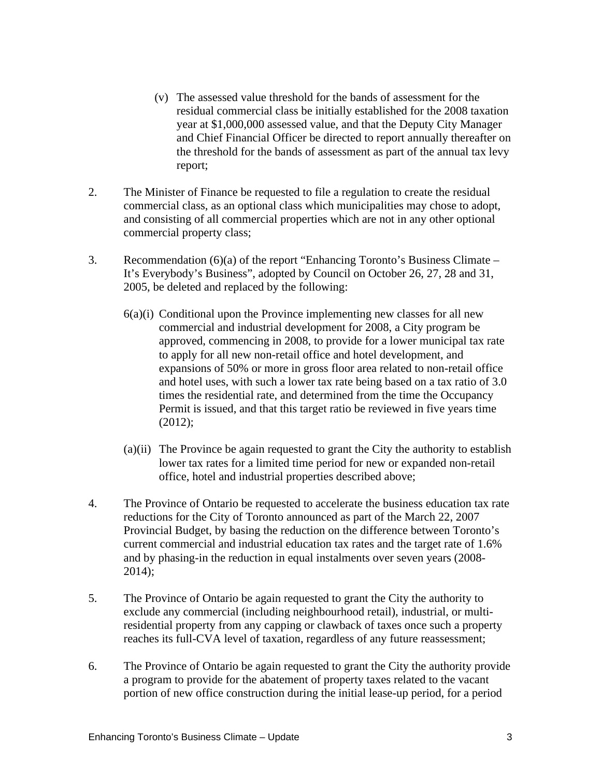- (v) The assessed value threshold for the bands of assessment for the residual commercial class be initially established for the 2008 taxation year at \$1,000,000 assessed value, and that the Deputy City Manager and Chief Financial Officer be directed to report annually thereafter on the threshold for the bands of assessment as part of the annual tax levy report;
- 2. The Minister of Finance be requested to file a regulation to create the residual commercial class, as an optional class which municipalities may chose to adopt, and consisting of all commercial properties which are not in any other optional commercial property class;
- 3. Recommendation (6)(a) of the report "Enhancing Toronto's Business Climate It's Everybody's Business", adopted by Council on October 26, 27, 28 and 31, 2005, be deleted and replaced by the following:
	- $6(a)(i)$  Conditional upon the Province implementing new classes for all new commercial and industrial development for 2008, a City program be approved, commencing in 2008, to provide for a lower municipal tax rate to apply for all new non-retail office and hotel development, and expansions of 50% or more in gross floor area related to non-retail office and hotel uses, with such a lower tax rate being based on a tax ratio of 3.0 times the residential rate, and determined from the time the Occupancy Permit is issued, and that this target ratio be reviewed in five years time  $(2012);$
	- (a)(ii) The Province be again requested to grant the City the authority to establish lower tax rates for a limited time period for new or expanded non-retail office, hotel and industrial properties described above;
- 4. The Province of Ontario be requested to accelerate the business education tax rate reductions for the City of Toronto announced as part of the March 22, 2007 Provincial Budget, by basing the reduction on the difference between Toronto's current commercial and industrial education tax rates and the target rate of 1.6% and by phasing-in the reduction in equal instalments over seven years (2008- 2014);
- 5. The Province of Ontario be again requested to grant the City the authority to exclude any commercial (including neighbourhood retail), industrial, or multiresidential property from any capping or clawback of taxes once such a property reaches its full-CVA level of taxation, regardless of any future reassessment;
- 6. The Province of Ontario be again requested to grant the City the authority provide a program to provide for the abatement of property taxes related to the vacant portion of new office construction during the initial lease-up period, for a period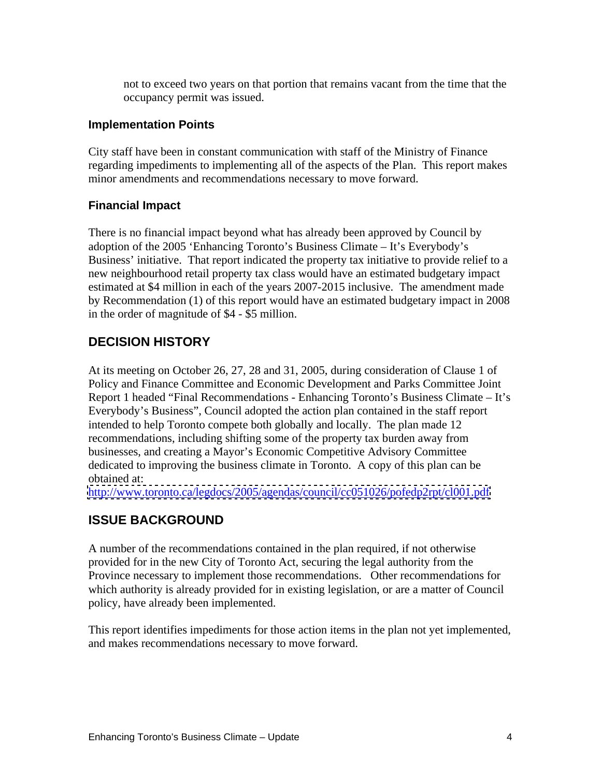not to exceed two years on that portion that remains vacant from the time that the occupancy permit was issued.

### **Implementation Points**

City staff have been in constant communication with staff of the Ministry of Finance regarding impediments to implementing all of the aspects of the Plan. This report makes minor amendments and recommendations necessary to move forward.

## **Financial Impact**

There is no financial impact beyond what has already been approved by Council by adoption of the 2005 'Enhancing Toronto's Business Climate – It's Everybody's Business' initiative. That report indicated the property tax initiative to provide relief to a new neighbourhood retail property tax class would have an estimated budgetary impact estimated at \$4 million in each of the years 2007-2015 inclusive. The amendment made by Recommendation (1) of this report would have an estimated budgetary impact in 2008 in the order of magnitude of \$4 - \$5 million.

# **DECISION HISTORY**

At its meeting on October 26, 27, 28 and 31, 2005, during consideration of Clause 1 of Policy and Finance Committee and Economic Development and Parks Committee Joint Report 1 headed "Final Recommendations - Enhancing Toronto's Business Climate – It's Everybody's Business", Council adopted the action plan contained in the staff report intended to help Toronto compete both globally and locally. The plan made 12 recommendations, including shifting some of the property tax burden away from businesses, and creating a Mayor's Economic Competitive Advisory Committee dedicated to improving the business climate in Toronto. A copy of this plan can be obtained at:

<http://www.toronto.ca/legdocs/2005/agendas/council/cc051026/pofedp2rpt/cl001.pdf>

# **ISSUE BACKGROUND**

A number of the recommendations contained in the plan required, if not otherwise provided for in the new City of Toronto Act, securing the legal authority from the Province necessary to implement those recommendations. Other recommendations for which authority is already provided for in existing legislation, or are a matter of Council policy, have already been implemented.

This report identifies impediments for those action items in the plan not yet implemented, and makes recommendations necessary to move forward.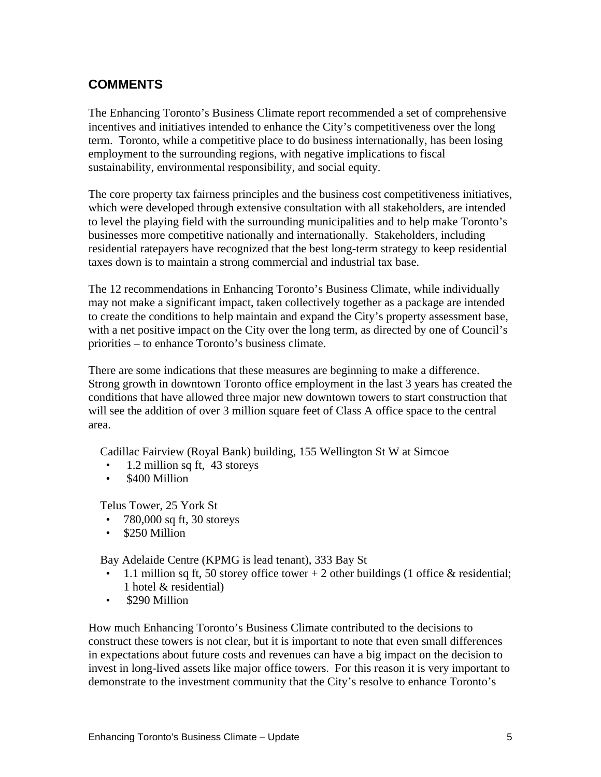# **COMMENTS**

The Enhancing Toronto's Business Climate report recommended a set of comprehensive incentives and initiatives intended to enhance the City's competitiveness over the long term. Toronto, while a competitive place to do business internationally, has been losing employment to the surrounding regions, with negative implications to fiscal sustainability, environmental responsibility, and social equity.

The core property tax fairness principles and the business cost competitiveness initiatives, which were developed through extensive consultation with all stakeholders, are intended to level the playing field with the surrounding municipalities and to help make Toronto's businesses more competitive nationally and internationally. Stakeholders, including residential ratepayers have recognized that the best long-term strategy to keep residential taxes down is to maintain a strong commercial and industrial tax base.

The 12 recommendations in Enhancing Toronto's Business Climate, while individually may not make a significant impact, taken collectively together as a package are intended to create the conditions to help maintain and expand the City's property assessment base, with a net positive impact on the City over the long term, as directed by one of Council's priorities – to enhance Toronto's business climate.

There are some indications that these measures are beginning to make a difference. Strong growth in downtown Toronto office employment in the last 3 years has created the conditions that have allowed three major new downtown towers to start construction that will see the addition of over 3 million square feet of Class A office space to the central area.

Cadillac Fairview (Royal Bank) building, 155 Wellington St W at Simcoe

- 1.2 million sq ft, 43 storeys<br>• \$400 Million
- 

Telus Tower, 25 York St

- 780,000 sq ft, 30 storeys
- \$250 Million

- Bay Adelaide Centre (KPMG is lead tenant), 333 Bay St<br>
1.1 million sq ft, 50 storey office tower + 2 other buildings (1 office & residential; 1 hotel & residential)
	- \$290 Million

How much Enhancing Toronto's Business Climate contributed to the decisions to construct these towers is not clear, but it is important to note that even small differences in expectations about future costs and revenues can have a big impact on the decision to invest in long-lived assets like major office towers. For this reason it is very important to demonstrate to the investment community that the City's resolve to enhance Toronto's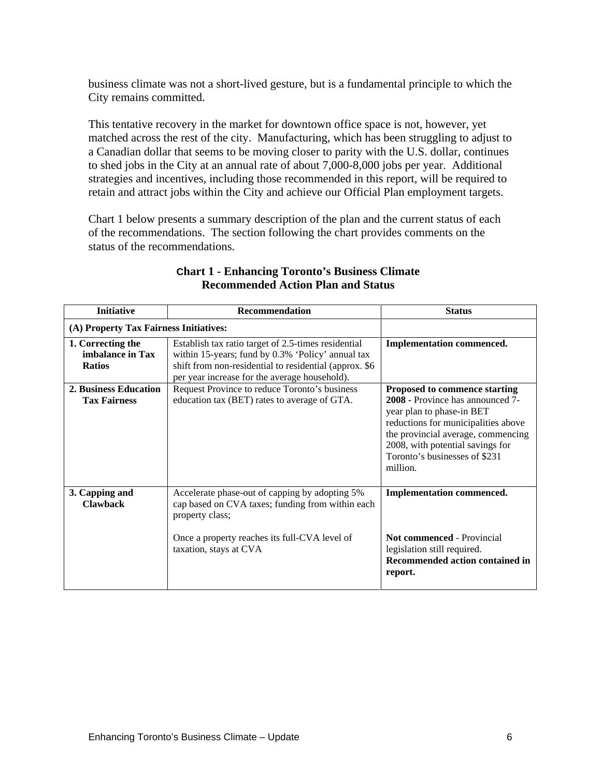business climate was not a short-lived gesture, but is a fundamental principle to which the City remains committed.

This tentative recovery in the market for downtown office space is not, however, yet matched across the rest of the city. Manufacturing, which has been struggling to adjust to a Canadian dollar that seems to be moving closer to parity with the U.S. dollar, continues to shed jobs in the City at an annual rate of about 7,000-8,000 jobs per year. Additional strategies and incentives, including those recommended in this report, will be required to retain and attract jobs within the City and achieve our Official Plan employment targets.

Chart 1 below presents a summary description of the plan and the current status of each of the recommendations. The section following the chart provides comments on the status of the recommendations.

| <b>Initiative</b>                                      | Recommendation                                                                                                                                                                                                      | <b>Status</b>                                                                                                                                                                                                                                                       |
|--------------------------------------------------------|---------------------------------------------------------------------------------------------------------------------------------------------------------------------------------------------------------------------|---------------------------------------------------------------------------------------------------------------------------------------------------------------------------------------------------------------------------------------------------------------------|
| (A) Property Tax Fairness Initiatives:                 |                                                                                                                                                                                                                     |                                                                                                                                                                                                                                                                     |
| 1. Correcting the<br>imbalance in Tax<br><b>Ratios</b> | Establish tax ratio target of 2.5-times residential<br>within 15-years; fund by 0.3% 'Policy' annual tax<br>shift from non-residential to residential (approx. \$6<br>per year increase for the average household). | <b>Implementation commenced.</b>                                                                                                                                                                                                                                    |
| <b>Tax Fairness</b>                                    | 2. Business Education   Request Province to reduce Toronto's business<br>education tax (BET) rates to average of GTA.                                                                                               | <b>Proposed to commence starting</b><br>2008 - Province has announced 7-<br>year plan to phase-in BET<br>reductions for municipalities above<br>the provincial average, commencing<br>2008, with potential savings for<br>Toronto's businesses of \$231<br>million. |
| 3. Capping and<br><b>Clawback</b>                      | Accelerate phase-out of capping by adopting 5%<br>cap based on CVA taxes; funding from within each<br>property class;<br>Once a property reaches its full-CVA level of<br>taxation, stays at CVA                    | <b>Implementation commenced.</b><br><b>Not commenced - Provincial</b><br>legislation still required.<br>Recommended action contained in<br>report.                                                                                                                  |

### **Chart 1 - Enhancing Toronto's Business Climate Recommended Action Plan and Status**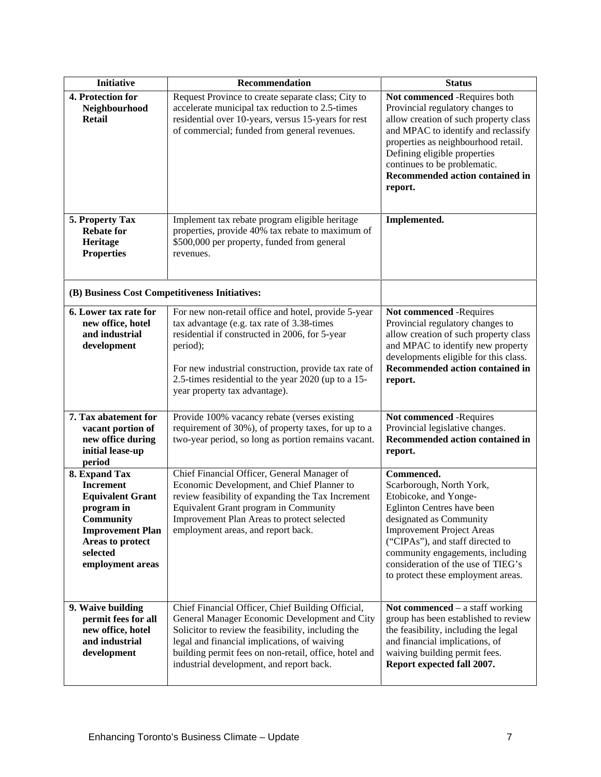| <b>Initiative</b>                              | Recommendation                                                                      | <b>Status</b>                                                              |
|------------------------------------------------|-------------------------------------------------------------------------------------|----------------------------------------------------------------------------|
| 4. Protection for                              | Request Province to create separate class; City to                                  | Not commenced -Requires both                                               |
| Neighbourhood                                  | accelerate municipal tax reduction to 2.5-times                                     | Provincial regulatory changes to                                           |
| Retail                                         | residential over 10-years, versus 15-years for rest                                 | allow creation of such property class                                      |
|                                                | of commercial; funded from general revenues.                                        | and MPAC to identify and reclassify<br>properties as neighbourhood retail. |
|                                                |                                                                                     | Defining eligible properties                                               |
|                                                |                                                                                     | continues to be problematic.                                               |
|                                                |                                                                                     | <b>Recommended action contained in</b>                                     |
|                                                |                                                                                     | report.                                                                    |
|                                                |                                                                                     |                                                                            |
| 5. Property Tax                                | Implement tax rebate program eligible heritage                                      | Implemented.                                                               |
| <b>Rebate for</b>                              | properties, provide 40% tax rebate to maximum of                                    |                                                                            |
| Heritage                                       | \$500,000 per property, funded from general                                         |                                                                            |
| <b>Properties</b>                              | revenues.                                                                           |                                                                            |
|                                                |                                                                                     |                                                                            |
|                                                |                                                                                     |                                                                            |
| (B) Business Cost Competitiveness Initiatives: |                                                                                     |                                                                            |
| 6. Lower tax rate for                          | For new non-retail office and hotel, provide 5-year                                 | Not commenced -Requires                                                    |
| new office, hotel                              | tax advantage (e.g. tax rate of 3.38-times                                          | Provincial regulatory changes to                                           |
| and industrial<br>development                  | residential if constructed in 2006, for 5-year<br>period);                          | allow creation of such property class<br>and MPAC to identify new property |
|                                                |                                                                                     | developments eligible for this class.                                      |
|                                                | For new industrial construction, provide tax rate of                                | Recommended action contained in                                            |
|                                                | 2.5-times residential to the year 2020 (up to a 15-                                 | report.                                                                    |
|                                                | year property tax advantage).                                                       |                                                                            |
|                                                |                                                                                     |                                                                            |
| 7. Tax abatement for                           | Provide 100% vacancy rebate (verses existing                                        | Not commenced -Requires                                                    |
| vacant portion of                              | requirement of 30%), of property taxes, for up to a                                 | Provincial legislative changes.                                            |
| new office during<br>initial lease-up          | two-year period, so long as portion remains vacant                                  | Recommended action contained in<br>report.                                 |
| period                                         |                                                                                     |                                                                            |
| 8. Expand Tax                                  | Chief Financial Officer, General Manager of                                         | Commenced.                                                                 |
| <b>Increment</b>                               | Economic Development, and Chief Planner to                                          | Scarborough, North York,                                                   |
| <b>Equivalent Grant</b>                        | review feasibility of expanding the Tax Increment                                   | Etobicoke, and Yonge-                                                      |
| program in                                     | Equivalent Grant program in Community<br>Improvement Plan Areas to protect selected | Eglinton Centres have been<br>designated as Community                      |
| <b>Community</b><br><b>Improvement Plan</b>    | employment areas, and report back.                                                  | <b>Improvement Project Areas</b>                                           |
| Areas to protect                               |                                                                                     | ("CIPAs"), and staff directed to                                           |
| selected                                       |                                                                                     | community engagements, including                                           |
| employment areas                               |                                                                                     | consideration of the use of TIEG's                                         |
|                                                |                                                                                     | to protect these employment areas.                                         |
|                                                |                                                                                     |                                                                            |
| 9. Waive building                              | Chief Financial Officer, Chief Building Official,                                   | Not commenced $-$ a staff working                                          |
| permit fees for all                            | General Manager Economic Development and City                                       | group has been established to review                                       |
| new office, hotel                              | Solicitor to review the feasibility, including the                                  | the feasibility, including the legal                                       |
| and industrial                                 | legal and financial implications, of waiving                                        | and financial implications, of                                             |
| development                                    | building permit fees on non-retail, office, hotel and                               | waiving building permit fees.                                              |
|                                                | industrial development, and report back.                                            | Report expected fall 2007.                                                 |
|                                                |                                                                                     |                                                                            |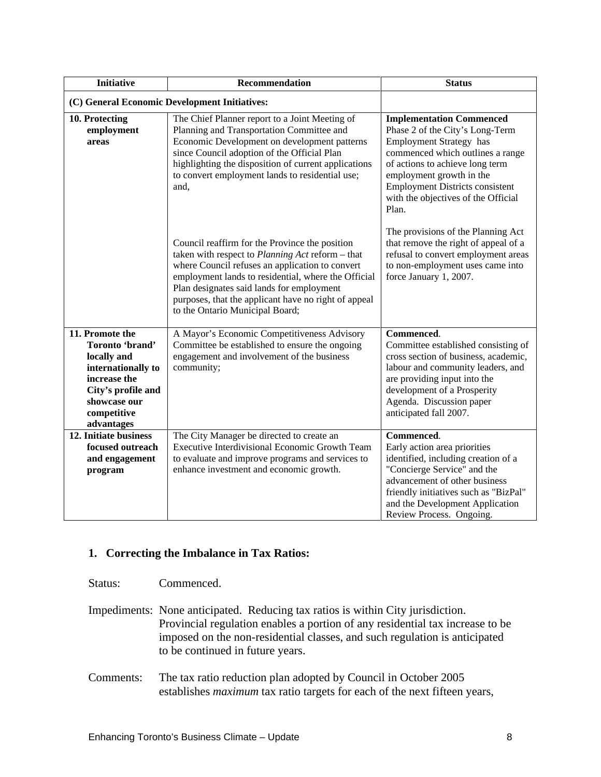| Recommendation<br><b>Initiative</b>                                                                                                                                                                                                                                                                                                                                                                                                                                                                                                                                                             | <b>Status</b>                                                                                                                                                                                                                                                                                                                                                                                                                                    |
|-------------------------------------------------------------------------------------------------------------------------------------------------------------------------------------------------------------------------------------------------------------------------------------------------------------------------------------------------------------------------------------------------------------------------------------------------------------------------------------------------------------------------------------------------------------------------------------------------|--------------------------------------------------------------------------------------------------------------------------------------------------------------------------------------------------------------------------------------------------------------------------------------------------------------------------------------------------------------------------------------------------------------------------------------------------|
| (C) General Economic Development Initiatives:                                                                                                                                                                                                                                                                                                                                                                                                                                                                                                                                                   |                                                                                                                                                                                                                                                                                                                                                                                                                                                  |
| The Chief Planner report to a Joint Meeting of<br>10. Protecting<br>Planning and Transportation Committee and<br>employment<br>Economic Development on development patterns<br>areas<br>since Council adoption of the Official Plan<br>highlighting the disposition of current applications<br>to convert employment lands to residential use;<br>and.                                                                                                                                                                                                                                          | <b>Implementation Commenced</b><br>Phase 2 of the City's Long-Term<br><b>Employment Strategy has</b><br>commenced which outlines a range<br>of actions to achieve long term<br>employment growth in the<br><b>Employment Districts consistent</b><br>with the objectives of the Official<br>Plan.                                                                                                                                                |
| Council reaffirm for the Province the position<br>taken with respect to <i>Planning Act</i> reform $-$ that<br>where Council refuses an application to convert<br>employment lands to residential, where the Official force January 1, 2007.<br>Plan designates said lands for employment<br>purposes, that the applicant have no right of appeal<br>to the Ontario Municipal Board;                                                                                                                                                                                                            | The provisions of the Planning Act<br>that remove the right of appeal of a<br>refusal to convert employment areas<br>to non-employment uses came into                                                                                                                                                                                                                                                                                            |
| 11. Promote the<br>A Mayor's Economic Competitiveness Advisory<br>Committee be established to ensure the ongoing<br>Toronto 'brand'<br>engagement and involvement of the business<br>locally and<br>internationally to<br>community;<br>increase the<br>City's profile and<br>showcase our<br>competitive<br>advantages<br>12. Initiate business<br>The City Manager be directed to create an<br>Executive Interdivisional Economic Growth Team<br>focused outreach<br>to evaluate and improve programs and services to<br>and engagement<br>enhance investment and economic growth.<br>program | Commenced.<br>Committee established consisting of<br>cross section of business, academic,<br>labour and community leaders, and<br>are providing input into the<br>development of a Prosperity<br>Agenda. Discussion paper<br>anticipated fall 2007.<br>Commenced.<br>Early action area priorities<br>dentified, including creation of a<br>"Concierge Service" and the<br>advancement of other business<br>friendly initiatives such as "BizPal" |

### **1. Correcting the Imbalance in Tax Ratios:**

Status: Commenced.

Impediments: None anticipated. Reducing tax ratios is within City jurisdiction. Provincial regulation enables a portion of any residential tax increase to be imposed on the non-residential classes, and such regulation is anticipated to be continued in future years.

Comments: The tax ratio reduction plan adopted by Council in October 2005 establishes *maximum* tax ratio targets for each of the next fifteen years,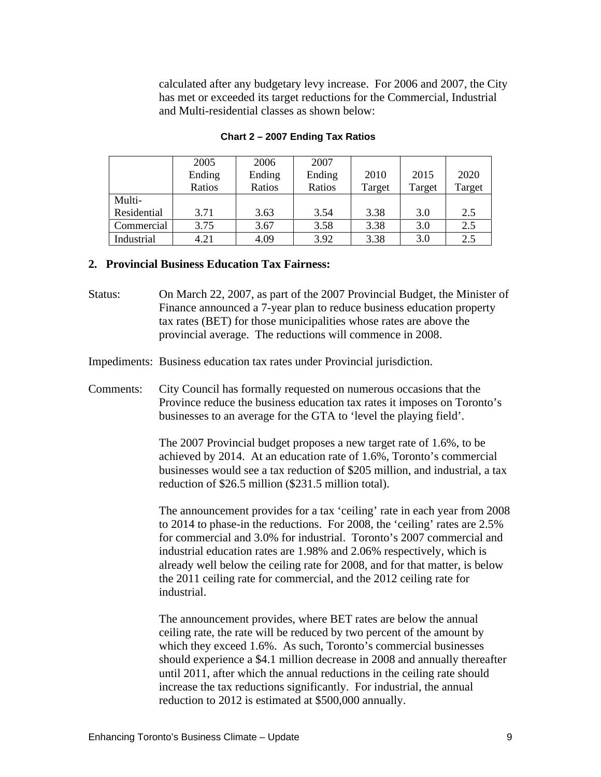calculated after any budgetary levy increase. For 2006 and 2007, the City has met or exceeded its target reductions for the Commercial, Industrial and Multi-residential classes as shown below:

|                   | 2005                         | 2006   | 2007                    |        |                               |                         |
|-------------------|------------------------------|--------|-------------------------|--------|-------------------------------|-------------------------|
|                   | Ending                       | Ending | Ending                  | 2010   | 2015                          | 2020                    |
|                   | Ratios                       | Ratios | Ratios                  | Target | Targe                         | $\mathbf{r}$<br>Target  |
| Multi-            |                              |        |                         |        |                               |                         |
| Residential       | $\sim$ $\sim$<br>J.11        | 3.63   | $\cup \, \cdot \, \cup$ | 3.38   | $\sim$ $\sim$<br>$\sim \cdot$ | $\gamma$ $\zeta$<br>⊶ ⊶ |
| <b>Commercial</b> | 3.75                         | 3.67   | 3.58                    | 3.38   | $\Omega$<br>$\cup \cdot \cup$ | $\gamma$ $\leq$<br>ن ک  |
| Industrial        | $\Lambda$ $\Omega$ 1<br>4.4. | 4.09   | 3.92<br>J.74            | 3.38   | $\Omega$                      | $\sim$ $\sim$<br>∼…     |

#### **Chart 2 – 2007 Ending Tax Ratios**

#### **2. Provincial Business Education Tax Fairness:**

Status: On March 22, 2007, as part of the 2007 Provincial Budget, the Minister of Finance announced a 7-year plan to reduce business education property tax rates (BET) for those municipalities whose rates are above the provincial average. The reductions will commence in 2008.

Impediments: Business education tax rates under Provincial jurisdiction.

Comments: City Council has formally requested on numerous occasions that the Province reduce the business education tax rates it imposes on Toronto's businesses to an average for the GTA to 'level the playing field'.

> The 2007 Provincial budget proposes a new target rate of 1.6%, to be achieved by 2014. At an education rate of 1.6%, Toronto's commercial businesses would see a tax reduction of \$205 million, and industrial, a tax reduction of \$26.5 million (\$231.5 million total).

The announcement provides for a tax 'ceiling' rate in each year from 2008 to 2014 to phase-in the reductions. For 2008, the 'ceiling' rates are 2.5% for commercial and 3.0% for industrial. Toronto's 2007 commercial and industrial education rates are 1.98% and 2.06% respectively, which is already well below the ceiling rate for 2008, and for that matter, is below the 2011 ceiling rate for commercial, and the 2012 ceiling rate for industrial.

The announcement provides, where BET rates are below the annual ceiling rate, the rate will be reduced by two percent of the amount by which they exceed 1.6%. As such, Toronto's commercial businesses should experience a \$4.1 million decrease in 2008 and annually thereafter until 2011, after which the annual reductions in the ceiling rate should increase the tax reductions significantly. For industrial, the annual reduction to 2012 is estimated at \$500,000 annually.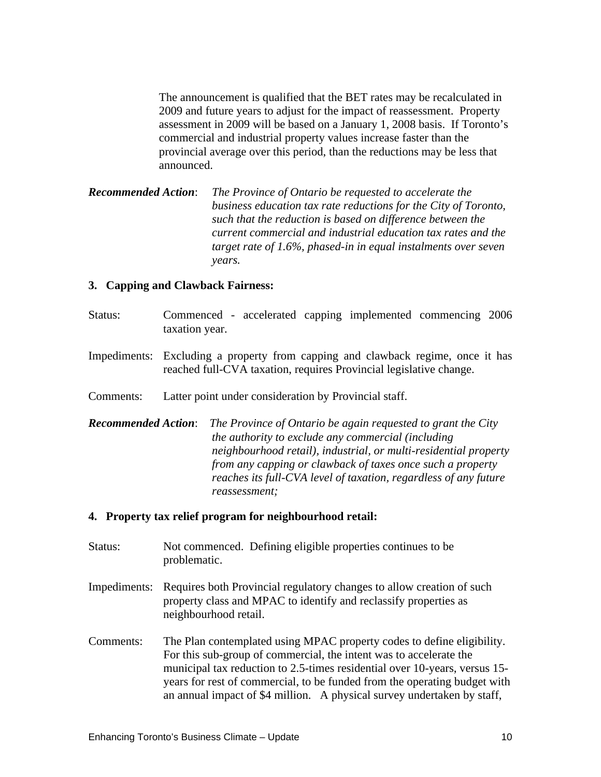The announcement is qualified that the BET rates may be recalculated in 2009 and future years to adjust for the impact of reassessment. Property assessment in 2009 will be based on a January 1, 2008 basis. If Toronto's commercial and industrial property values increase faster than the provincial average over this period, than the reductions may be less that announced.

*Recommended Action*: *The Province of Ontario be requested to accelerate the business education tax rate reductions for the City of Toronto, such that the reduction is based on difference between the current commercial and industrial education tax rates and the target rate of 1.6%, phased-in in equal instalments over seven years.*

#### **3. Capping and Clawback Fairness:**

- Status: Commenced accelerated capping implemented commencing 2006 taxation year.
- Impediments: Excluding a property from capping and clawback regime, once it has reached full-CVA taxation, requires Provincial legislative change.
- Comments: Latter point under consideration by Provincial staff.
- *Recommended Action*: *The Province of Ontario be again requested to grant the City the authority to exclude any commercial (including neighbourhood retail), industrial, or multi-residential property from any capping or clawback of taxes once such a property reaches its full-CVA level of taxation, regardless of any future reassessment;*

#### **4. Property tax relief program for neighbourhood retail:**

- Status: Not commenced. Defining eligible properties continues to be problematic.<br>Impediments: Requires both Provincial regulatory changes to allow creation of such
- property class and MPAC to identify and reclassify properties as neighbourhood retail.
- Comments: The Plan contemplated using MPAC property codes to define eligibility. For this sub-group of commercial, the intent was to accelerate the municipal tax reduction to 2.5-times residential over 10-years, versus 15 years for rest of commercial, to be funded from the operating budget with an annual impact of \$4 million. A physical survey undertaken by staff,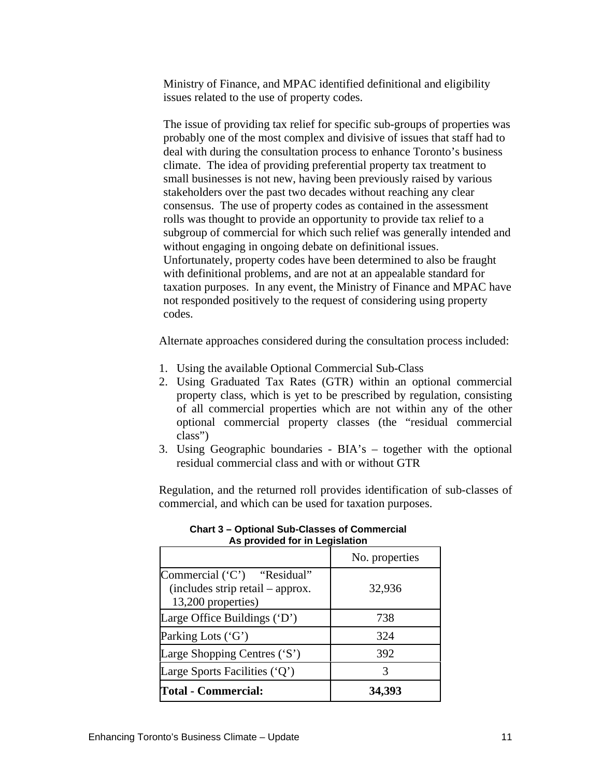Ministry of Finance, and MPAC identified definitional and eligibility issues related to the use of property codes. The issue of providing tax relief for specific sub-groups of properties was

probably one of the most complex and divisive of issues that staff had to deal with during the consultation process to enhance Toronto's business climate. The idea of providing preferential property tax treatment to small businesses is not new, having been previously raised by various stakeholders over the past two decades without reaching any clear consensus. The use of property codes as contained in the assessment rolls was thought to provide an opportunity to provide tax relief to a subgroup of commercial for which such relief was generally intended and without engaging in ongoing debate on definitional issues. Unfortunately, property codes have been determined to also be fraught with definitional problems, and are not at an appealable standard for taxation purposes. In any event, the Ministry of Finance and MPAC have not responded positively to the request of considering using property codes. Alternate approaches considered during the consultation process included:

- 1. Using the available Optional Commercial Sub-Class
- 2. Using Graduated Tax Rates (GTR) within an optional commercial property class, which is yet to be prescribed by regulation, consisting of all commercial properties which are not within any of the other optional commercial property classes (the "residual commercial class")
- 3. Using Geographic boundaries BIA's together with the optional residual commercial class and with or without GTR

Regulation, and the returned roll provides identification of sub-classes of commercial, and which can be used for taxation purposes.

| AS provided for in Legislation                                                           |                |
|------------------------------------------------------------------------------------------|----------------|
|                                                                                          | No. properties |
| Commercial ('C')<br>"Residual"<br>(includes strip retail – approx.<br>13,200 properties) | 32,936         |
| Large Office Buildings ('D')                                                             | 738            |
| Parking Lots ('G')                                                                       | 324            |
| Large Shopping Centres ('S')                                                             | 392            |
| Large Sports Facilities ('Q')                                                            |                |
| <b>Total - Commercial:</b>                                                               | 34,393         |

#### **Chart 3 – Optional Sub-Classes of Commercial As provided for in Legislation**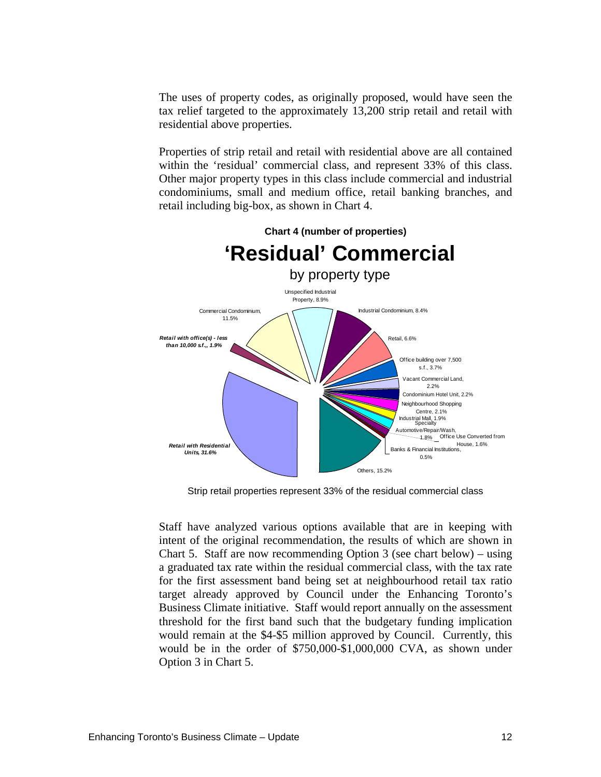The uses of property codes, as originally proposed, would have seen the tax relief targeted to the approximately 13,200 strip retail and retail with residential above properties.

Properties of strip retail and retail with residential above are all contained within the 'residual' commercial class, and represent 33% of this class. Other major property types in this class include commercial and industrial condominiums, small and medium office, retail banking branches, and retail including big-box, as shown in Chart 4.



Strip retail properties represent 33% of the residual commercial class

Staff have analyzed various options available that are in keeping with intent of the original recommendation, the results of which are shown in Chart 5. Staff are now recommending Option 3 (see chart below) – using a graduated tax rate within the residual commercial class, with the tax rate for the first assessment band being set at neighbourhood retail tax ratio target already approved by Council under the Enhancing Toronto's Business Climate initiative. Staff would report annually on the assessment threshold for the first band such that the budgetary funding implication would remain at the \$4-\$5 million approved by Council. Currently, this would be in the order of \$750,000-\$1,000,000 CVA, as shown under Option 3 in Chart 5.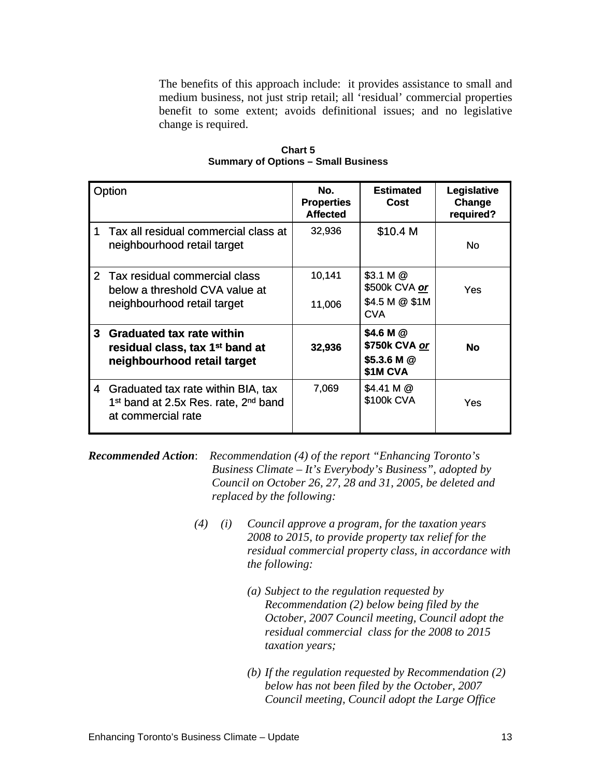The benefits of this approach include: it provides assistance to small and medium business, not just strip retail; all 'residual' commercial properties benefit to some extent; avoids definitional issues; and no legislative change is required.

| Option                                                                                                                     | No.<br><b>Properties</b><br><b>Affected</b> | <b>Estimated</b><br><b>Cost</b>                                                                  | Legislative<br>Change<br>required? |
|----------------------------------------------------------------------------------------------------------------------------|---------------------------------------------|--------------------------------------------------------------------------------------------------|------------------------------------|
| Tax all residual commercial class at<br>neighbourhood retail target                                                        | 32,936                                      | \$10.4 M                                                                                         | No                                 |
| Tax residual commercial class<br>below a threshold CVA value at<br>neighbourhood retail target                             | 10,141<br>11,006                            | $\vert$ \$3.1 M $\omega$<br>\$500k CVA <u>or</u><br>$\vert$ \$4.5 M @ \$1M $\vert$<br><b>CVA</b> | Yes                                |
| 3 Graduated tax rate within<br>residual class, tax 1 <sup>st</sup> band at<br>neighbourhood retail target                  | 32,936                                      | \$4.6 M @<br>\$750k CVA <u>or</u><br>\$5.3.6 M @<br>\$1M CVA                                     | <b>No</b>                          |
| 4 Graduated tax rate within BIA, tax<br>1 <sup>st</sup> band at 2.5x Res. rate, 2 <sup>nd</sup> band<br>at commercial rate | 7,069                                       | \$4.41 M @<br>\$100k CVA                                                                         | Yes                                |

**Chart 5 Summary of Options – Small Business**

*Recommended Action*: *Recommendation (4) of the report "Enhancing Toronto's Business Climate – It's Everybody's Business", adopted by Council on October 26, 27, 28 and 31, 2005, be deleted and replaced by the following:*

- *(4) (i) Council approve a program, for the taxation years 2008 to 2015, to provide property tax relief for the residual commercial property class, in accordance with the following:*
	- *(a) Subject to the regulation requested by Recommendation (2) below being filed by the October, 2007 Council meeting, Council adopt the residual commercial class for the 2008 to 2015 taxation years;*
	- *(b) If the regulation requested by Recommendation (2) below has not been filed by the October, 2007 Council meeting, Council adopt the Large Office*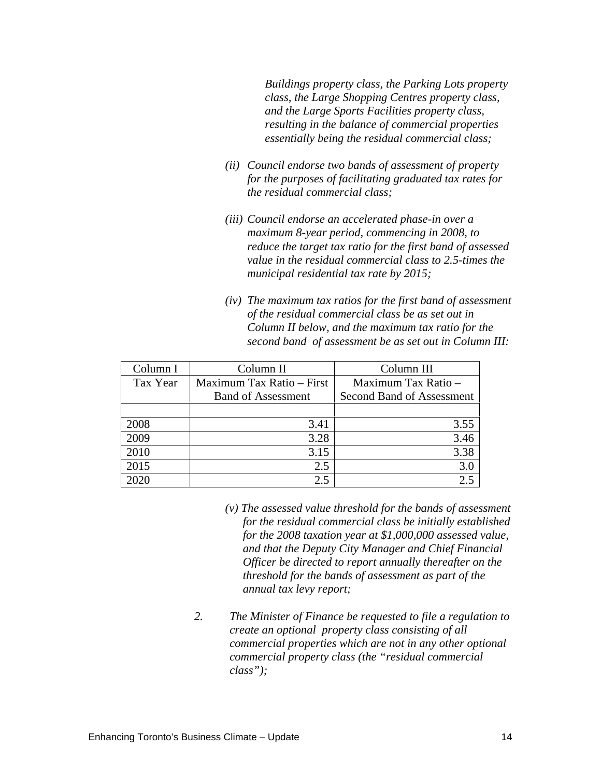*Buildings property class, the Parking Lots property class, the Large Shopping Centres property class, and the Large Sports Facilities property class, resulting in the balance of commercial properties essentially being the residual commercial class;*

- *(ii) Council endorse two bands of assessment of property for the purposes of facilitating graduated tax rates for the residual commercial class;*
- *(iii) Council endorse an accelerated phase-in over a maximum 8-year period, commencing in 2008, to reduce the target tax ratio for the first band of assessed value in the residual commercial class to 2.5-times the municipal residential tax rate by 2015;*
- *(iv) The maximum tax ratios for the first band of assessment of the residual commercial class be as set out in Column II below, and the maximum tax ratio for the second band of assessment be as set out in Column III:*

| Column I | Column II                 | Column III                |
|----------|---------------------------|---------------------------|
| Tax Year | Maximum Tax Ratio – First | Maximum Tax Ratio -       |
|          | <b>Band of Assessment</b> | Second Band of Assessment |
|          |                           |                           |
| 2008     |                           | 355<br>J.J.               |
| 2009     |                           |                           |
| 2010     |                           | 3.38                      |
| 2015     |                           |                           |
| 2020     |                           |                           |

- *(v) The assessed value threshold for the bands of assessment for the residual commercial class be initially established for the 2008 taxation year at \$1,000,000 assessed value, and that the Deputy City Manager and Chief Financial Officer be directed to report annually thereafter on the threshold for the bands of assessment as part of the annual tax levy report;*
- *2. The Minister of Finance be requested to file a regulation to create an optional property class consisting of all commercial properties which are not in any other optional commercial property class (the "residual commercial class");*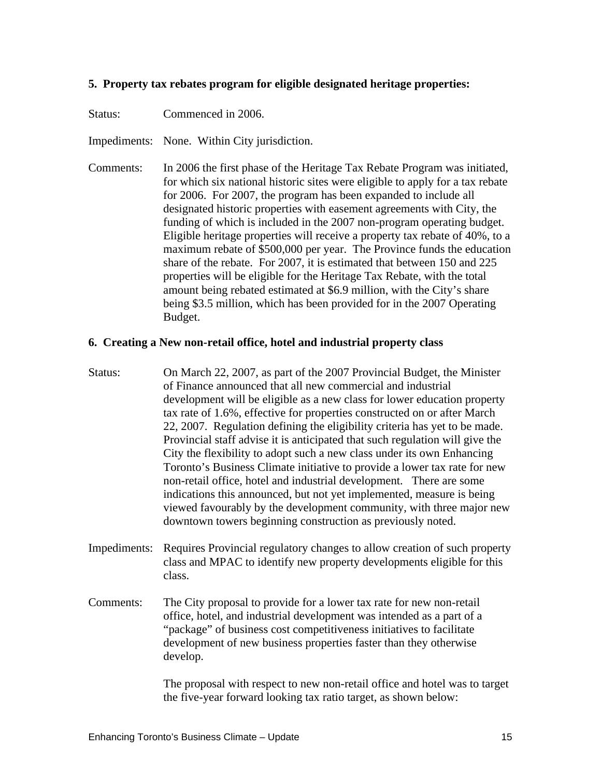### **5. Property tax rebates program for eligible designated heritage properties:**

Status: Commenced in 2006.

Impediments: None. Within City jurisdiction.

Comments: In 2006 the first phase of the Heritage Tax Rebate Program was initiated, for which six national historic sites were eligible to apply for a tax rebate for 2006. For 2007, the program has been expanded to include all designated historic properties with easement agreements with City, the funding of which is included in the 2007 non-program operating budget. Eligible heritage properties will receive a property tax rebate of 40%, to a maximum rebate of \$500,000 per year. The Province funds the education share of the rebate. For 2007, it is estimated that between 150 and 225 properties will be eligible for the Heritage Tax Rebate, with the total amount being rebated estimated at \$6.9 million, with the City's share being \$3.5 million, which has been provided for in the 2007 Operating **Budget.** The contract of the contract of the contract of the contract of the contract of the contract of the contract of the contract of the contract of the contract of the contract of the contract of the contract of the

#### **6. Creating a New non-retail office, hotel and industrial property class**

- Status: On March 22, 2007, as part of the 2007 Provincial Budget, the Minister of Finance announced that all new commercial and industrial development will be eligible as a new class for lower education property tax rate of 1.6%, effective for properties constructed on or after March 22, 2007. Regulation defining the eligibility criteria has yet to be made. Provincial staff advise it is anticipated that such regulation will give the City the flexibility to adopt such a new class under its own Enhancing Toronto's Business Climate initiative to provide a lower tax rate for new non-retail office, hotel and industrial development. There are some indications this announced, but not yet implemented, measure is being viewed favourably by the development community, with three major new downtown towers beginning construction as previously noted.
- Impediments: Requires Provincial regulatory changes to allow creation of such property class and MPAC to identify new property developments eligible for this class.
- Comments: The City proposal to provide for a lower tax rate for new non-retail office, hotel, and industrial development was intended as a part of a "package" of business cost competitiveness initiatives to facilitate development of new business properties faster than they otherwise develop.

The proposal with respect to new non-retail office and hotel was to target the five-year forward looking tax ratio target, as shown below: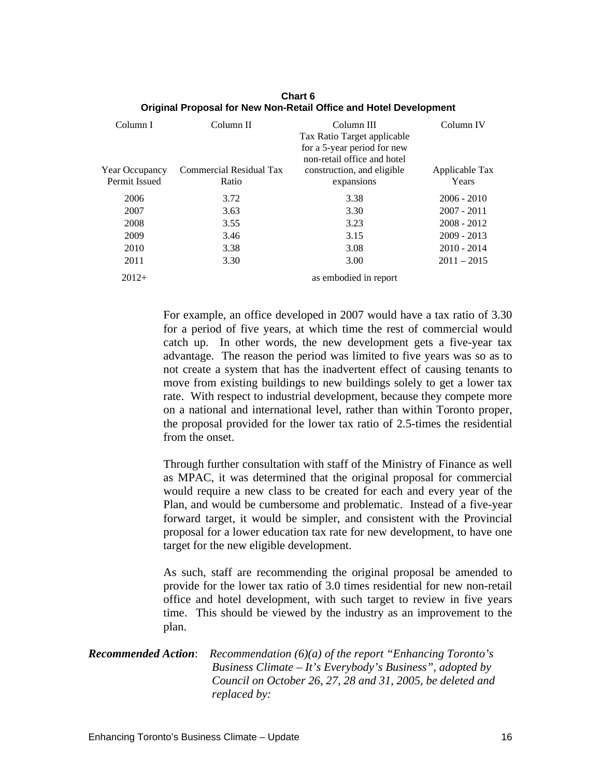| Column I      | Column II                              | Column III                                                 | Column IV      |
|---------------|----------------------------------------|------------------------------------------------------------|----------------|
|               |                                        | Tax Ratio Target applicable<br>for a 5-year period for new |                |
|               |                                        | non-retail office and hotel                                |                |
|               | Year Occupancy Commercial Residual Tax | construction, and eligible                                 | Applicable Tax |
| Permit Issued | Ratio                                  | expansions                                                 | Years          |
| 2006          | 3.72                                   | 3.38                                                       | $2006 - 2010$  |
| 2007          | 3.63                                   | 3.30                                                       | $2007 - 2011$  |
| 2008          | 3.55                                   | 3.23                                                       | $2008 - 2012$  |
| 2009          | 3.46                                   | 3.15                                                       | $2009 - 2013$  |
| 2010          | 3.38                                   | 3.08                                                       | $2010 - 2014$  |
| 2011          | 3.30                                   | 3.00                                                       | $2011 - 2015$  |
| $2012+$       |                                        | as embodied in report                                      |                |

#### **Chart 6 Original Proposal for New Non-Retail Office and Hotel Development**

 For example, an office developed in 2007 would have a tax ratio of 3.30 for a period of five years, at which time the rest of commercial would catch up. In other words, the new development gets a five-year tax advantage. The reason the period was limited to five years was so as to not create a system that has the inadvertent effect of causing tenants to move from existing buildings to new buildings solely to get a lower tax rate. With respect to industrial development, because they compete more on a national and international level, rather than within Toronto proper, the proposal provided for the lower tax ratio of 2.5-times the residential from the onset.

Through further consultation with staff of the Ministry of Finance aswell as MPAC, it was determined that the original proposal for commercial would require a new class to be created for each and every year of the Plan, and would be cumbersome and problematic. Instead of a five-year forward target, it would be simpler, and consistent with the Provincial proposal for a lower education tax rate for new development, to have one target for the new eligible development.

As such, staff are recommending the original proposal be amended to provide for the lower tax ratio of 3.0 times residential for new non-retail office and hotel development, with such target to review in five years time. This should be viewed by the industry as an improvement to the plan. The contract of the contract of the contract of the contract of the contract of the contract of the contract of the contract of the contract of the contract of the contract of the contract of the contract of the cont

*Recommended Action*: *Recommendation (6)(a) of the report "Enhancing Toronto's Business Climate – It's Everybody's Business", adopted by Council on October 26, 27, 28 and 31, 2005, be deleted and replaced by:*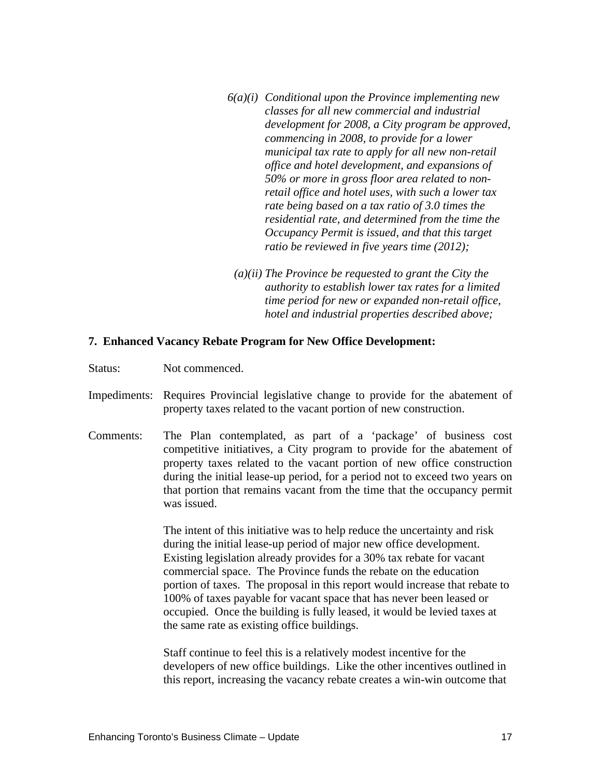- *6(a)(i) Conditional upon the Province implementing new classes for all new commercial and industrial development for 2008, a City program be approved, commencing in 2008, to provide for a lower municipal tax rate to apply for all new non-retail office and hotel development, and expansions of 50% or more in gross floor area related to non retail office and hotel uses, with such a lower tax rate being based on a tax ratio of 3.0 times the residential rate, and determined from the time the Occupancy Permit is issued, and that this target ratio be reviewed in five years time (2012);*
- *(a)(ii) The Province be requested to grant the City the authority to establish lower tax rates for a limited time period for new or expanded non-retail office, hotel and industrial properties described above;*

#### **7. Enhanced Vacancy Rebate Program for New Office Development:**

Status: Not commenced.

- Impediments: Requires Provincial legislative change to provide for the abatement of property taxes related to the vacant portion of new construction.
- Comments: The Plan contemplated, as part of a 'package' of business cost competitive initiatives, a City program to provide for the abatement of property taxes related to the vacant portion of new office construction during the initial lease-up period, for a period not to exceed two years on that portion that remains vacant from the time that the occupancy permit

was issued.<br>The intent of this initiative was to help reduce the uncertainty and risk during the initial lease-up period of major new office development. Existing legislation already provides for a 30% tax rebate for vacant commercial space. The Province funds the rebate on the education portion of taxes. The proposal in this report would increase that rebate to 100% of taxes payable for vacant space that has never been leased or occupied. Once the building is fully leased, it would be levied taxes at the same rate as existing office buildings.

Staff continue to feel this is a relatively modest incentive for the developers of new office buildings. Like the other incentives outlined in this report, increasing the vacancy rebate creates a win-win outcome that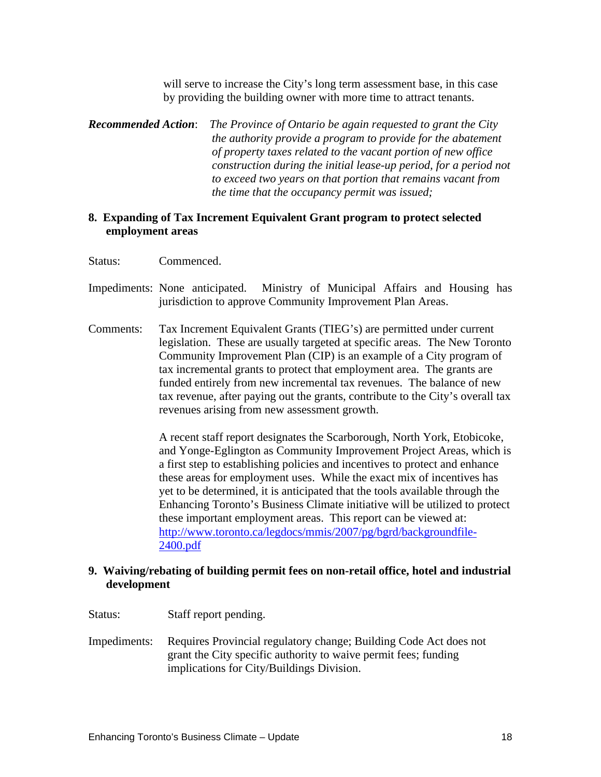will serve to increase the City's long term assessment base, in this case by providing the building owner with more time to attract tenants.

*Recommended Action*: *The Province of Ontario be again requested to grant the City the authority provide a program to provide for the abatement of property taxes related to the vacant portion of new office construction during the initial lease-up period, for a period not to exceed two years on that portion that remains vacant from the time that the occupancy permit was issued;*

### **8. Expanding of Tax Increment Equivalent Grant program to protect selected employment areas**

- Status: Commenced.
- Impediments: None anticipated. Ministry of Municipal Affairs and Housing has jurisdiction to approve Community Improvement Plan Areas.
- Comments: Tax Increment Equivalent Grants (TIEG's) are permitted under current legislation. These are usually targeted at specific areas. The New Toronto Community Improvement Plan (CIP) is an example of a City program of tax incremental grants to protect that employment area. The grants are funded entirely from new incremental tax revenues. The balance of new tax revenue, after paying out the grants, contribute to the City's overall tax revenues arising from new assessment growth.

A recent staff report designates the Scarborough, North York, Etobicoke, and Yonge-Eglington as Community Improvement Project Areas, which is a first step to establishing policies and incentives to protect and enhance these areas for employment uses. While the exact mix of incentives has yet to be determined, it is anticipated that the tools available through the Enhancing Toronto's Business Climate initiative will be utilized to protect these important employment areas. This report can be viewed at: [http://www.toronto.ca/legdocs/mmis/2007/pg/bgrd/backgroundfile-](http://www.toronto.ca/legdocs/mmis/2007/pg/bgrd/backgroundfile-2400.pdf)  $\frac{2400. \text{pdf}}{2400. \text{pdf}}$ 

### **9. Waiving/rebating of building permit fees on non-retail office, hotel and industrial development**

- Status: Staff report pending.
- Impediments: Requires Provincial regulatory change; Building Code Act does not grant the City specific authority to waive permit fees; funding implications for City/Buildings Division.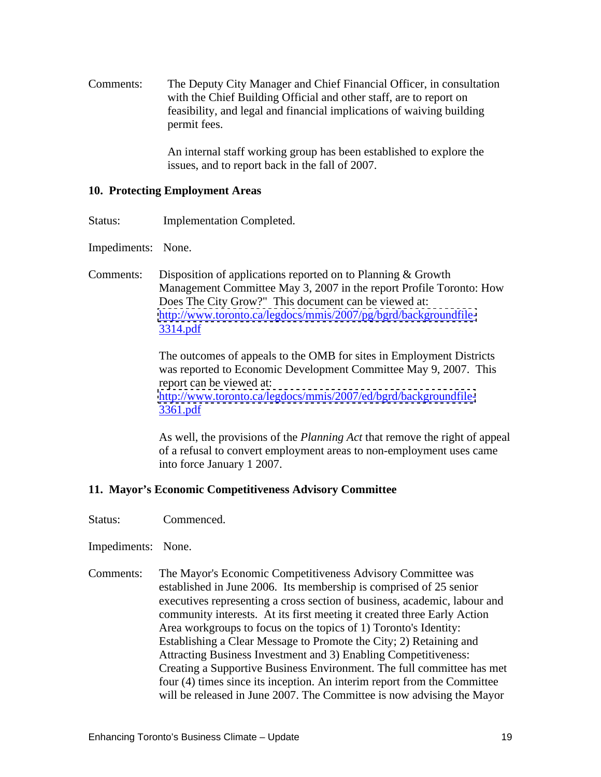Comments: The Deputy City Manager and Chief Financial Officer, in consultation with the Chief Building Official and other staff, are to report on feasibility, and legal and financial implications of waiving building permit fees. The second state of the second state  $\sim$ 

> An internal staff working group has been established to explore the issues, and to report back in the fall of 2007.

#### **10. Protecting Employment Areas**

Status: Implementation Completed.

Impediments: None.

Comments: Disposition of applications reported on to Planning & Growth Management Committee May 3, 2007 in the report Profile Toronto: How Does The City Grow?" This document can be viewed at: <http://www.toronto.ca/legdocs/mmis/2007/pg/bgrd/backgroundfile->  $3314.pdf$ 

The outcomes of appeals to the OMB for sites in Employment Districts was reported to Economic Development Committee May 9, 2007. This report can be viewed at: <http://www.toronto.ca/legdocs/mmis/2007/ed/bgrd/backgroundfile->  $\frac{3361. \text{pdf}}{200. \text{pdf}}$ 

As well, the provisions of the *Planning Act* that remove the right of appeal of a refusal to convert employment areas to non-employment uses came into force January 1 2007.

#### **11. Mayor's Economic Competitiveness Advisory Committee**

Status: Commenced.

Impediments: None.

Comments: The Mayor's Economic Competitiveness Advisory Committee was established in June 2006. Its membership is comprised of 25 senior executives representing a cross section of business, academic, labour and community interests. At its first meeting it created three Early Action Area workgroups to focus on the topics of 1) Toronto's Identity: Establishing a Clear Message to Promote the City; 2) Retaining and Attracting Business Investment and 3) Enabling Competitiveness: Creating a Supportive Business Environment. The full committee has met four (4) times since its inception. An interim report from the Committee will be released in June 2007. The Committee is now advising the Mayor